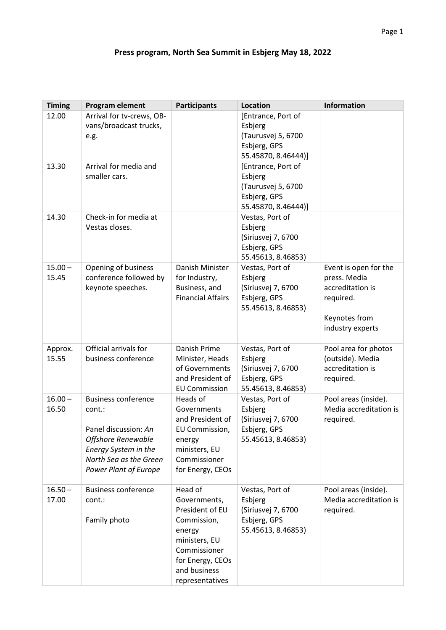## **Press program, North Sea Summit in Esbjerg May 18, 2022**

| <b>Timing</b>      | Program element                                                                                                                                                             | <b>Participants</b>                                                                                                                                         | <b>Location</b>                                                                            | <b>Information</b>                                                                                          |
|--------------------|-----------------------------------------------------------------------------------------------------------------------------------------------------------------------------|-------------------------------------------------------------------------------------------------------------------------------------------------------------|--------------------------------------------------------------------------------------------|-------------------------------------------------------------------------------------------------------------|
| 12.00              | Arrival for tv-crews, OB-<br>vans/broadcast trucks,<br>e.g.                                                                                                                 |                                                                                                                                                             | [Entrance, Port of<br>Esbjerg<br>(Taurusvej 5, 6700<br>Esbjerg, GPS<br>55.45870, 8.46444)] |                                                                                                             |
| 13.30              | Arrival for media and<br>smaller cars.                                                                                                                                      |                                                                                                                                                             | [Entrance, Port of<br>Esbjerg<br>(Taurusvej 5, 6700<br>Esbjerg, GPS<br>55.45870, 8.46444)] |                                                                                                             |
| 14.30              | Check-in for media at<br>Vestas closes.                                                                                                                                     |                                                                                                                                                             | Vestas, Port of<br>Esbjerg<br>(Siriusvej 7, 6700<br>Esbjerg, GPS<br>55.45613, 8.46853)     |                                                                                                             |
| $15.00 -$<br>15.45 | Opening of business<br>conference followed by<br>keynote speeches.                                                                                                          | Danish Minister<br>for Industry,<br>Business, and<br><b>Financial Affairs</b>                                                                               | Vestas, Port of<br>Esbjerg<br>(Siriusvej 7, 6700<br>Esbjerg, GPS<br>55.45613, 8.46853)     | Event is open for the<br>press. Media<br>accreditation is<br>required.<br>Keynotes from<br>industry experts |
| Approx.<br>15.55   | Official arrivals for<br>business conference                                                                                                                                | Danish Prime<br>Minister, Heads<br>of Governments<br>and President of<br><b>EU Commission</b>                                                               | Vestas, Port of<br>Esbjerg<br>(Siriusvej 7, 6700<br>Esbjerg, GPS<br>55.45613, 8.46853)     | Pool area for photos<br>(outside). Media<br>accreditation is<br>required.                                   |
| $16.00 -$<br>16.50 | <b>Business conference</b><br>cont.:<br>Panel discussion: An<br><b>Offshore Renewable</b><br>Energy System in the<br>North Sea as the Green<br><b>Power Plant of Europe</b> | Heads of<br>Governments<br>and President of<br>EU Commission,<br>energy<br>ministers, EU<br>Commissioner<br>for Energy, CEOs                                | Vestas, Port of<br>Esbjerg<br>(Siriusvej 7, 6700<br>Esbjerg, GPS<br>55.45613, 8.46853)     | Pool areas (inside).<br>Media accreditation is<br>required.                                                 |
| $16.50 -$<br>17.00 | <b>Business conference</b><br>cont.:<br>Family photo                                                                                                                        | Head of<br>Governments,<br>President of EU<br>Commission,<br>energy<br>ministers, EU<br>Commissioner<br>for Energy, CEOs<br>and business<br>representatives | Vestas, Port of<br>Esbjerg<br>(Siriusvej 7, 6700<br>Esbjerg, GPS<br>55.45613, 8.46853)     | Pool areas (inside).<br>Media accreditation is<br>required.                                                 |